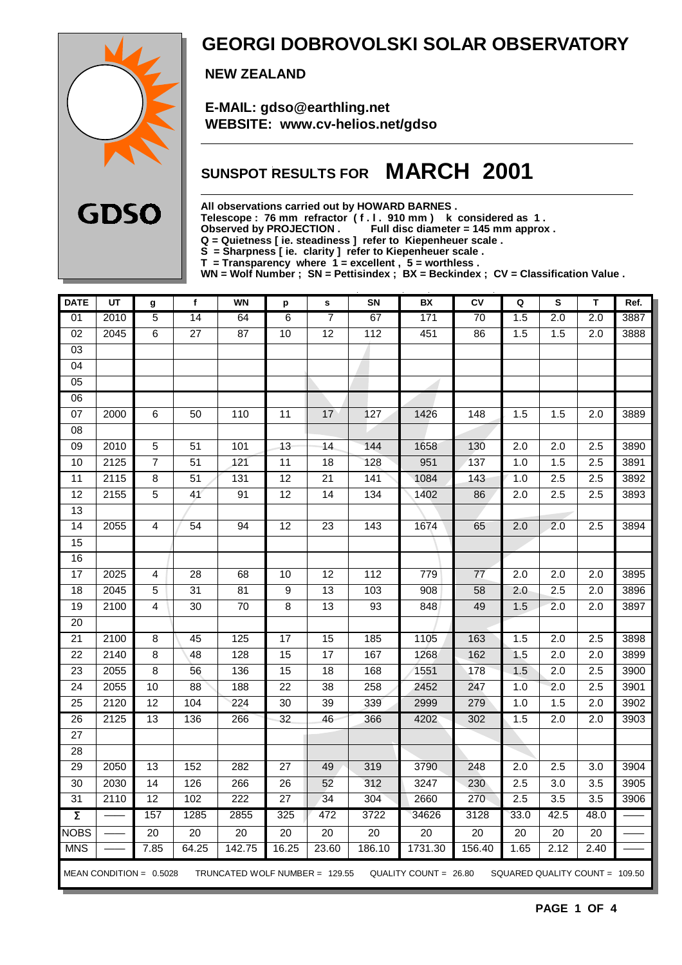

## **GEORGI DOBROVOLSKI SOLAR OBSERVATORY**

 **NEW ZEALAND**

 **E-MAIL: gdso@earthling.net WEBSITE: www.cv-helios.net/gdso**

# **SUNSPOT RESULTS FOR MARCH 2001**

**All observations carried out by HOWARD BARNES .**

**Telescope : 76 mm refractor ( f . l . 910 mm ) k considered as 1 .**

Observed by PROJECTION . Full disc diameter = 145 mm approx .

**Q = Quietness [ ie. steadiness ] refer to Kiepenheuer scale .**

**S = Sharpness [ ie. clarity ] refer to Kiepenheuer scale .**

**T = Transparency where 1 = excellent , 5 = worthless .**

**WN = Wolf Number ; SN = Pettisindex ; BX = Beckindex ; CV = Classification Value .**

| <b>DATE</b>         | UT   | g                         | f               | <b>WN</b>                      | p                | s               | SN               | BX                    | CV              | Q                | s                              | T                | Ref. |
|---------------------|------|---------------------------|-----------------|--------------------------------|------------------|-----------------|------------------|-----------------------|-----------------|------------------|--------------------------------|------------------|------|
| 01                  | 2010 | 5                         | 14              | 64                             | $\overline{6}$   | 7               | 67               | 171                   | 70              | 1.5              | 2.0                            | 2.0              | 3887 |
| 02                  | 2045 | $\overline{6}$            | $\overline{27}$ | $\overline{87}$                | $\overline{10}$  | $\overline{12}$ | 112              | 451                   | 86              | 1.5              | 1.5                            | 2.0              | 3888 |
| 03                  |      |                           |                 |                                |                  |                 |                  |                       |                 |                  |                                |                  |      |
| 04                  |      |                           |                 |                                |                  |                 |                  |                       |                 |                  |                                |                  |      |
| $\overline{05}$     |      |                           |                 |                                |                  |                 |                  |                       |                 |                  |                                |                  |      |
| 06                  |      |                           |                 |                                |                  |                 |                  |                       |                 |                  |                                |                  |      |
| 07                  | 2000 | 6                         | 50              | 110                            | 11               | 17              | 127              | 1426                  | 148             | 1.5              | 1.5                            | 2.0              | 3889 |
| 08                  |      |                           |                 |                                |                  |                 |                  |                       |                 |                  |                                |                  |      |
| 09                  | 2010 | 5                         | $\overline{51}$ | 101                            | $\overline{13}$  | $\overline{14}$ | 144              | 1658                  | 130             | $\overline{2.0}$ | $\overline{2.0}$               | 2.5              | 3890 |
| 10                  | 2125 | $\overline{7}$            | 51              | 121                            | $\overline{11}$  | 18              | 128              | 951                   | 137             | 1.0              | 1.5                            | 2.5              | 3891 |
| $\overline{11}$     | 2115 | 8                         | $\overline{51}$ | $\overline{131}$               | $\overline{12}$  | $\overline{21}$ | $\overline{141}$ | 1084                  | 143             | 1.0              | 2.5                            | 2.5              | 3892 |
| $\overline{12}$     | 2155 | $\overline{5}$            | $\overline{41}$ | 91                             | $\overline{12}$  | $\overline{14}$ | 134              | 1402                  | 86              | 2.0              | $\overline{2.5}$               | 2.5              | 3893 |
| 13                  |      |                           |                 |                                |                  |                 |                  |                       |                 |                  |                                |                  |      |
| 14                  | 2055 | 4                         | 54              | 94                             | 12               | 23              | 143              | 1674                  | 65              | 2.0              | 2.0                            | 2.5              | 3894 |
| 15                  |      |                           |                 |                                |                  |                 |                  |                       |                 |                  |                                |                  |      |
| 16                  |      |                           |                 |                                |                  |                 |                  |                       |                 |                  |                                |                  |      |
| 17                  | 2025 | 4                         | $\overline{28}$ | 68                             | 10               | $\overline{12}$ | $\frac{11}{2}$   | 779                   | $\overline{77}$ | $\overline{2.0}$ | $\overline{2.0}$               | $\overline{2.0}$ | 3895 |
| $\overline{18}$     | 2045 | $\overline{5}$            | $\overline{31}$ | 81                             | $\boldsymbol{9}$ | 13              | 103              | 908                   | 58              | 2.0              | 2.5                            | $\overline{2.0}$ | 3896 |
| 19                  | 2100 | 4                         | $\overline{30}$ | $\overline{70}$                | 8                | 13              | 93               | 848                   | 49              | 1.5              | 2.0                            | 2.0              | 3897 |
| $\overline{20}$     |      |                           |                 |                                |                  |                 |                  |                       |                 |                  |                                |                  |      |
| 21                  | 2100 | 8                         | 45              | 125                            | 17               | 15              | 185              | 1105                  | 163             | 1.5              | 2.0                            | 2.5              | 3898 |
| 22                  | 2140 | 8                         | 48              | 128                            | 15               | $\overline{17}$ | 167              | 1268                  | 162             | 1.5              | $\overline{2.0}$               | $\overline{2.0}$ | 3899 |
| $\overline{23}$     | 2055 | 8                         | 56              | 136                            | $\overline{15}$  | $\overline{18}$ | 168              | 1551                  | 178             | 1.5              | 2.0                            | 2.5              | 3900 |
| $\overline{24}$     | 2055 | 10                        | $\overline{88}$ | 188                            | $\overline{22}$  | $\overline{38}$ | 258              | 2452                  | 247             | 1.0              | 2.0                            | 2.5              | 3901 |
| 25                  | 2120 | 12                        | 104             | 224                            | 30               | 39              | 339              | 2999                  | 279             | 1.0              | 1.5                            | 2.0              | 3902 |
| 26                  | 2125 | 13                        | 136             | 266                            | 32               | 46              | 366              | 4202                  | 302             | 1.5              | 2.0                            | 2.0              | 3903 |
| $\overline{27}$     |      |                           |                 |                                |                  |                 |                  |                       |                 |                  |                                |                  |      |
| 28                  |      |                           |                 |                                |                  |                 |                  |                       |                 |                  |                                |                  |      |
| 29                  | 2050 | $\overline{13}$           | 152             | 282                            | 27               | 49              | 319              | 3790                  | 248             | $\overline{2.0}$ | 2.5                            | $\overline{3.0}$ | 3904 |
| 30                  | 2030 | 14                        | 126             | 266                            | 26               | 52              | 312              | 3247                  | 230             | 2.5              | $\overline{3.0}$               | $\overline{3.5}$ | 3905 |
| 31                  | 2110 | 12                        | 102             | 222                            | 27               | 34              | 304              | 2660                  | 270             | 2.5              | 3.5                            | 3.5              | 3906 |
| $\overline{\Sigma}$ |      | 157                       | 1285            | 2855                           | 325              | 472             | 3722             | 34626                 | 3128            | 33.0             | 42.5                           | 48.0             |      |
| <b>NOBS</b>         |      | 20                        | 20              | 20                             | 20               | 20              | 20               | 20                    | 20              | 20               | 20                             | 20               |      |
| <b>MNS</b>          |      | 7.85                      | 64.25           | 142.75                         | 16.25            | 23.60           | 186.10           | 1731.30               | 156.40          | 1.65             | 2.12                           | 2.40             |      |
|                     |      | MEAN CONDITION = $0.5028$ |                 | TRUNCATED WOLF NUMBER = 129.55 |                  |                 |                  | QUALITY COUNT = 26.80 |                 |                  | SQUARED QUALITY COUNT = 109.50 |                  |      |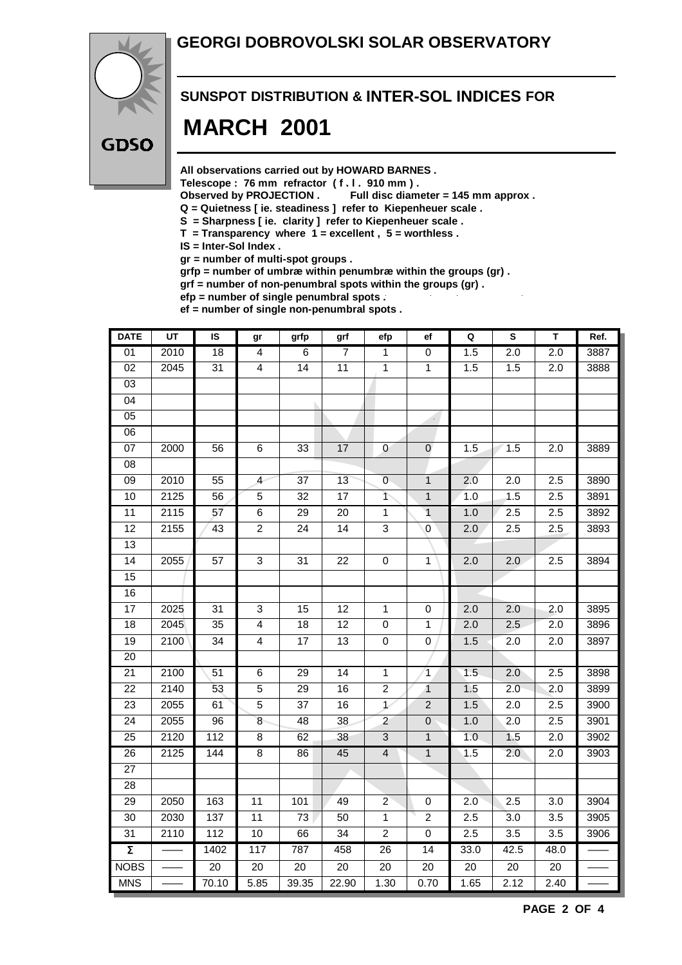#### **GEORGI DOBROVOLSKI SOLAR OBSERVATORY**



# **SUNSPOT DISTRIBUTION & INTER-SOL INDICES FOR MARCH 2001**

**All observations carried out by HOWARD BARNES .**

Telescope : 76 mm refractor (f. l. 910 mm).<br>Observed by PROJECTION . Full disc diam

Full disc diameter = 145 mm approx .

- **Q = Quietness [ ie. steadiness ] refer to Kiepenheuer scale .**
- **S = Sharpness [ ie. clarity ] refer to Kiepenheuer scale .**
- **T = Transparency where 1 = excellent , 5 = worthless .**
- **IS = Inter-Sol Index .**

**gr = number of multi-spot groups .**

**grfp = number of umbræ within penumbræ within the groups (gr) .**

**grf = number of non-penumbral spots within the groups (gr) .**

**efp = number of single penumbral spots .**

**ef = number of single non-penumbral spots .**

| <b>DATE</b>         | $\overline{UT}$ | $\overline{S}$  | gr                      | grfp            | grf             | efp                      | ef                   | Q               | $\overline{\mathbf{s}}$ | т                | Ref. |
|---------------------|-----------------|-----------------|-------------------------|-----------------|-----------------|--------------------------|----------------------|-----------------|-------------------------|------------------|------|
| $\overline{01}$     | 2010            | $\overline{18}$ | 4                       | 6               | 7               | 1                        | 0                    | 1.5             | 2.0                     | 2.0              | 3887 |
| $\overline{02}$     | 2045            | $\overline{31}$ | $\overline{\mathbf{4}}$ | 14              | $\overline{11}$ | $\overline{1}$           | $\mathbf{1}$         | 1.5             | 1.5                     | 2.0              | 3888 |
| $\overline{03}$     |                 |                 |                         |                 |                 |                          |                      |                 |                         |                  |      |
| $\overline{04}$     |                 |                 |                         |                 |                 |                          |                      |                 |                         |                  |      |
| $\overline{05}$     |                 |                 |                         |                 |                 |                          |                      |                 |                         |                  |      |
| $\overline{06}$     |                 |                 |                         |                 |                 |                          |                      |                 |                         |                  |      |
| 07                  | 2000            | 56              | 6                       | 33              | 17              | $\pmb{0}$                | $\pmb{0}$            | 1.5             | 1.5                     | 2.0              | 3889 |
| $\overline{08}$     |                 |                 |                         |                 |                 |                          |                      |                 |                         |                  |      |
| $\overline{09}$     | 2010            | 55              | 4                       | 37              | 13              | 0                        | $\mathbf{1}$         | 2.0             | 2.0                     | 2.5              | 3890 |
| 10                  | 2125            | 56              | $\overline{5}$          | 32              | 17              | $\overline{\phantom{a}}$ | $\mathbf{1}$         | 1.0             | 1.5                     | 2.5              | 3891 |
| $\overline{11}$     | 2115            | $\overline{57}$ | $\overline{6}$          | $\overline{29}$ | 20              | $\overline{1}$           | $\overline{1}$       | 1.0             | 2.5                     | $\overline{2.5}$ | 3892 |
| 12                  | 2155            | 43              | $\overline{2}$          | 24              | 14              | 3                        | $\mathbf{0}$         | 2.0             | 2.5                     | 2.5              | 3893 |
| 13                  |                 |                 |                         |                 |                 |                          |                      |                 |                         |                  |      |
| 14                  | 2055            | 57              | 3                       | 31              | 22              | $\mathbf 0$              | $\mathbf{1}$         | 2.0             | 2.0                     | 2.5              | 3894 |
| 15                  |                 |                 |                         |                 |                 |                          |                      |                 |                         |                  |      |
| 16                  |                 |                 |                         |                 |                 |                          |                      |                 |                         |                  |      |
| 17                  | 2025            | 31              | 3                       | 15              | 12              | $\mathbf{1}$             | 0                    | 2.0             | 2.0                     | 2.0              | 3895 |
| 18                  | 2045            | 35              | $\overline{4}$          | 18              | 12              | 0                        | $\mathbf{1}$         | 2.0             | 2.5                     | 2.0              | 3896 |
| $\overline{19}$     | 2100            | 34              | $\overline{4}$          | $\overline{17}$ | $\overline{13}$ | $\pmb{0}$                | $\pmb{0}$            | 1.5             | 2.0                     | 2.0              | 3897 |
| 20                  |                 |                 |                         |                 |                 |                          |                      |                 |                         |                  |      |
| 21                  | 2100            | 51              | 6                       | 29              | 14              | $\mathbf{1}$             | $\overline{1}$       | 1.5             | 2.0                     | 2.5              | 3898 |
| 22                  | 2140            | 53              | 5                       | 29              | 16              | $\boldsymbol{2}$         | $\blacktriangleleft$ | 1.5             | 2.0                     | 2.0              | 3899 |
| 23                  | 2055            | 61              | 5                       | 37              | 16              | $\overline{1}$           | $\boldsymbol{2}$     | 1.5             | 2.0                     | 2.5              | 3900 |
| 24                  | 2055            | 96              | $\boldsymbol{8}$        | 48              | 38              | $\overline{c}$           | $\pmb{0}$            | 1.0             | 2.0                     | 2.5              | 3901 |
| 25                  | 2120            | 112             | 8                       | 62              | 38              | $\sqrt{3}$               | $\mathbf{1}$         | 1.0             | 1.5                     | 2.0              | 3902 |
| $\overline{26}$     | 2125            | 144             | $\overline{8}$          | 86              | 45              | $\overline{4}$           | $\overline{1}$       | 1.5             | $\overline{2.0}$        | 2.0              | 3903 |
| 27                  |                 |                 |                         |                 |                 |                          |                      |                 |                         |                  |      |
| 28                  |                 |                 |                         |                 |                 |                          |                      |                 |                         |                  |      |
| 29                  | 2050            | 163             | 11                      | 101             | 49              | $\overline{2}$           | $\pmb{0}$            | 2.0             | 2.5                     | 3.0              | 3904 |
| 30                  | 2030            | 137             | $\overline{11}$         | 73              | 50              | $\mathbf 1$              | $\overline{c}$       | 2.5             | 3.0                     | 3.5              | 3905 |
| 31                  | 2110            | 112             | 10                      | 66              | 34              | $\boldsymbol{2}$         | $\pmb{0}$            | 2.5             | 3.5                     | 3.5              | 3906 |
| $\overline{\Sigma}$ |                 | 1402            | 117                     | 787             | 458             | $\overline{26}$          | $\overline{14}$      | 33.0            | 42.5                    | 48.0             |      |
| <b>NOBS</b>         |                 | $\overline{20}$ | $\overline{20}$         | $\overline{20}$ | $\overline{20}$ | $\overline{20}$          | $\overline{20}$      | $\overline{20}$ | $\overline{20}$         | $\overline{20}$  |      |
| <b>MNS</b>          |                 | 70.10           | 5.85                    | 39.35           | 22.90           | 1.30                     | 0.70                 | 1.65            | 2.12                    | 2.40             |      |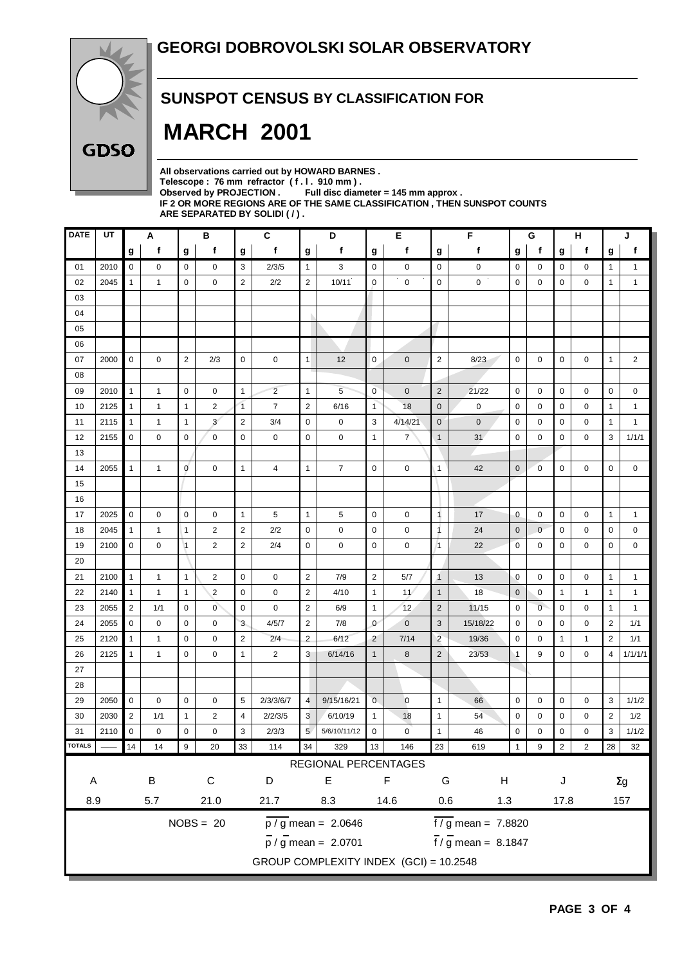

#### **SUNSPOT CENSUS BY CLASSIFICATION FOR**

# **MARCH 2001**

**All observations carried out by HOWARD BARNES .** Telescope : 76 mm refractor (f. l. 910 mm).<br>Observed by PROJECTION . Full disc diam Full disc diameter = 145 mm approx . **IF 2 OR MORE REGIONS ARE OF THE SAME CLASSIFICATION , THEN SUNSPOT COUNTS ARE SEPARATED BY SOLIDI ( / ) .**

| <b>DATE</b>        | UT   |                | Α            |                | в              |                | C              |                  | D                                         |                | Е              |                         | F                          |                      | G              | н            |                         |                | J              |
|--------------------|------|----------------|--------------|----------------|----------------|----------------|----------------|------------------|-------------------------------------------|----------------|----------------|-------------------------|----------------------------|----------------------|----------------|--------------|-------------------------|----------------|----------------|
|                    |      | g              | f            | g              | f              | g              | f              | g                | f                                         | g              | f              | g                       | f                          | g                    | f              | g            | f                       | g              | f              |
| 01                 | 2010 | $\mathbf 0$    | 0            | 0              | 0              | 3              | 2/3/5          | $\mathbf{1}$     | 3                                         | 0              | $\mathbf 0$    | $\pmb{0}$               | $\pmb{0}$                  | 0                    | 0              | 0            | 0                       | $\mathbf{1}$   | $\mathbf{1}$   |
| 02                 | 2045 | $\mathbf{1}$   | $\mathbf{1}$ | 0              | 0              | $\overline{2}$ | 2/2            | $\overline{2}$   | 10/11                                     | $\mathbf 0$    | $\mathbf 0$    | 0                       | $\mathbf 0$                | 0                    | 0              | 0            | 0                       | $\mathbf{1}$   | $\mathbf{1}$   |
| 03                 |      |                |              |                |                |                |                |                  |                                           |                |                |                         |                            |                      |                |              |                         |                |                |
| 04                 |      |                |              |                |                |                |                |                  |                                           |                |                |                         |                            |                      |                |              |                         |                |                |
| 05                 |      |                |              |                |                |                |                |                  |                                           |                |                |                         |                            |                      |                |              |                         |                |                |
| 06                 |      |                |              |                |                |                |                |                  |                                           |                |                |                         |                            |                      |                |              |                         |                |                |
| 07                 | 2000 | $\mathbf 0$    | 0            | $\overline{2}$ | 2/3            | $\mathbf 0$    | 0              | $\mathbf{1}$     | 12                                        | 0              | $\mathbf{0}$   | $\overline{\mathbf{c}}$ | 8/23                       | 0                    | 0              | 0            | 0                       | $\mathbf{1}$   | $\overline{2}$ |
| 08                 |      |                |              |                |                |                |                |                  |                                           |                |                |                         |                            |                      |                |              |                         |                |                |
| 09                 | 2010 | $\mathbf{1}$   | $\mathbf{1}$ | 0              | 0              | $\mathbf{1}$   | $\overline{2}$ | $\mathbf{1}$     | 5                                         | $\overline{0}$ | $\mathbf{0}$   | $\overline{2}$          | 21/22                      | $\mathbf 0$          | 0              | $\mathbf 0$  | 0                       | 0              | 0              |
| 10                 | 2125 | $\mathbf{1}$   | $\mathbf{1}$ | $\mathbf{1}$   | $\overline{2}$ | $\overline{1}$ | $\overline{7}$ | $\overline{2}$   | 6/16                                      | $\mathbf{1}$   | 18             | $\mathbf{0}$            | $\mathbf 0$                | $\mathbf 0$          | $\mathbf 0$    | $\mathbf 0$  | 0                       | $\mathbf{1}$   | $\mathbf{1}$   |
| 11                 | 2115 | $\mathbf{1}$   | $\mathbf{1}$ | 1              | $\mathbf{3}$   | $\overline{2}$ | 3/4            | 0                | 0                                         | 3              | 4/14/21        | $\mathbf 0$             | $\mathbf 0$                | 0                    | 0              | 0            | 0                       | $\mathbf{1}$   | $\mathbf{1}$   |
| 12                 | 2155 | $\mathbf 0$    | 0            | 0              | $\mathbf 0$    | $\mathbf 0$    | $\mathbf 0$    | $\mathbf 0$      | 0                                         | $\mathbf{1}$   | $\overline{7}$ | $\mathbf{1}$            | 31                         | $\mathbf 0$          | 0              | 0            | 0                       | 3              | 1/1/1          |
| 13                 |      |                |              |                |                |                |                |                  |                                           |                |                |                         |                            |                      |                |              |                         |                |                |
| 14                 | 2055 | $\mathbf{1}$   | $\mathbf{1}$ | 0              | $\mathbf 0$    | $\mathbf{1}$   | 4              | $\mathbf{1}$     | $\overline{7}$                            | $\pmb{0}$      | $\mathbf 0$    | $\mathbf{1}$            | 42                         | $\mathbf 0$          | 0              | 0            | 0                       | 0              | 0              |
| 15                 |      |                |              |                |                |                |                |                  |                                           |                |                |                         |                            |                      |                |              |                         |                |                |
| 16                 |      |                |              |                |                |                |                |                  |                                           |                |                |                         |                            |                      |                |              |                         |                |                |
| 17                 | 2025 | $\mathbf 0$    | 0            | 0              | $\mathbf 0$    | $\mathbf{1}$   | 5              | $\mathbf{1}$     | 5                                         | 0              | $\mathbf 0$    | 1                       | 17                         | $\mathbf 0$          | 0              | 0            | 0                       | $\mathbf{1}$   | $\mathbf{1}$   |
| 18                 | 2045 | $\mathbf{1}$   | 1            | $\mathbf{1}$   | $\overline{2}$ | $\overline{2}$ | 2/2            | $\mathbf 0$      | 0                                         | $\pmb{0}$      | 0              | 1                       | 24                         | $\mathbf{0}$         | $\mathbf 0$    | 0            | 0                       | 0              | 0              |
| 19                 | 2100 | $\mathbf 0$    | 0            | $\overline{1}$ | $\overline{2}$ | $\overline{2}$ | 2/4            | $\mathbf 0$      | $\pmb{0}$                                 | $\mathbf 0$    | $\mathbf 0$    | $\vert$ 1               | 22                         | $\mathbf 0$          | 0              | 0            | 0                       | $\pmb{0}$      | 0              |
| 20                 |      |                |              |                |                |                |                |                  |                                           |                |                |                         |                            |                      |                |              |                         |                |                |
| 21                 | 2100 | $\mathbf{1}$   | $\mathbf{1}$ | $\mathbf{1}$   | $\overline{c}$ | $\mathbf 0$    | 0              | $\overline{2}$   | 7/9                                       | 2              | 5/7            | 1                       | 13                         | $\mathbf 0$          | 0              | 0            | 0                       | $\mathbf{1}$   | $\mathbf{1}$   |
| 22                 | 2140 | $\mathbf{1}$   | $\mathbf{1}$ | $\mathbf{1}$   | 2              | $\mathbf 0$    | 0              | $\sqrt{2}$       | 4/10                                      | $\mathbf{1}$   | 11             | $\mathbf{1}$            | 18                         | $\mathbf{0}$         | 0              | $\mathbf{1}$ | $\mathbf{1}$            | $\mathbf{1}$   | $\mathbf{1}$   |
| 23                 | 2055 | $\overline{2}$ | 1/1          | 0              | $\overline{0}$ | $\mathbf 0$    | 0              | $\overline{2}$   | 6/9                                       | $\mathbf{1}$   | 12             | $\mathbf 2$             | 11/15                      | $\mathbf 0$          | $\overline{0}$ | 0            | 0                       | $\mathbf{1}$   | $\mathbf{1}$   |
| 24                 | 2055 | 0              | 0            | 0              | 0              | 3              | 4/5/7          | $\sqrt{2}$       | 7/8                                       | $\mathbf{0}$   | $\mathbf{0}$   | 3                       | 15/18/22                   | $\mathbf 0$          | 0              | 0            | 0                       | $\overline{2}$ | 1/1            |
| 25                 | 2120 | $\mathbf{1}$   | $\mathbf{1}$ | $\mathbf 0$    | 0              | $\overline{2}$ | 2/4            | $\overline{2}$   | 6/12                                      | $\overline{2}$ | 7/14           | $\overline{c}$          | 19/36                      | $\mathbf 0$          | 0              | $\mathbf{1}$ | $\mathbf{1}$            | $\overline{2}$ | 1/1            |
| 26                 | 2125 | $\mathbf{1}$   | $\mathbf{1}$ | $\mathbf 0$    | $\mathbf 0$    | $\mathbf{1}$   | $\overline{2}$ | 3                | 6/14/16                                   | $\mathbf{1}$   | 8              | $\overline{2}$          | 23/53                      | $\blacktriangleleft$ | 9              | 0            | 0                       | 4              | 1/1/1/1        |
| 27                 |      |                |              |                |                |                |                |                  |                                           |                |                |                         |                            |                      |                |              |                         |                |                |
| 28                 |      |                |              |                |                |                |                |                  |                                           |                |                |                         |                            |                      |                |              |                         |                |                |
| 29                 | 2050 | $\mathbf 0$    | 0            | $\mathbf 0$    | 0              | 5              | 2/3/3/6/7      | 4                | 9/15/16/21                                | $\mathbf{0}$   | $\overline{0}$ | 1                       | 66                         | $\mathbf 0$          | 0              | 0            | 0                       | 3              | 1/1/2          |
| 30                 | 2030 | $\overline{2}$ | 1/1          | 1              | $\overline{c}$ | 4              | 2/2/3/5        | 3                | 6/10/19                                   | 1              | 18             | $\mathbf{1}$            | 54                         | $\mathbf 0$          | 0              | $\mathbf 0$  | $\mathbf 0$             | $\overline{2}$ | 1/2            |
| 31                 | 2110 | $\mathbf 0$    | 0            | 0              | 0              | 3              | 2/3/3          | 5 <sub>5</sub>   | 5/6/10/11/12                              | $\mathbf 0$    | $\mathbf 0$    | 1                       | 46                         | $\mathbf 0$          | 0              | $\mathbf 0$  | 0                       | 3              | 1/1/2          |
| <b>TOTALS</b>      |      | 14             | 14           | 9              | $20\,$         | 33             | $114$          | 34               | 329                                       | 13             | 146            | 23                      | 619                        | 1                    | $9 \mid 2$     |              | $\overline{\mathbf{c}}$ |                | 28 32          |
|                    |      |                |              |                |                |                |                |                  | REGIONAL PERCENTAGES                      |                |                |                         |                            |                      |                |              |                         |                |                |
| A                  |      |                | $\sf B$      |                | ${\bf C}$      |                | D              |                  | $\mathsf E$                               |                | F              | G                       | H                          |                      |                | J            |                         |                | $\Sigma g$     |
| 8.9<br>5.7<br>21.0 |      |                | 21.7         | 8.3<br>14.6    |                |                |                | $0.6\,$<br>$1.3$ |                                           |                |                | 17.8                    |                            |                      | 157            |              |                         |                |                |
|                    |      |                |              |                | $NOBS = 20$    |                |                |                  | $\overline{p}/\overline{g}$ mean = 2.0646 |                |                |                         | $\sqrt{f/g}$ mean = 7.8820 |                      |                |              |                         |                |                |
|                    |      |                |              |                |                |                |                |                  |                                           |                |                |                         |                            |                      |                |              |                         |                |                |
|                    |      |                |              |                |                |                |                |                  | $\overline{p}$ / g mean = 2.0701          |                |                |                         | $f / g$ mean = 8.1847      |                      |                |              |                         |                |                |
|                    |      |                |              |                |                |                |                |                  | GROUP COMPLEXITY INDEX (GCI) = 10.2548    |                |                |                         |                            |                      |                |              |                         |                |                |